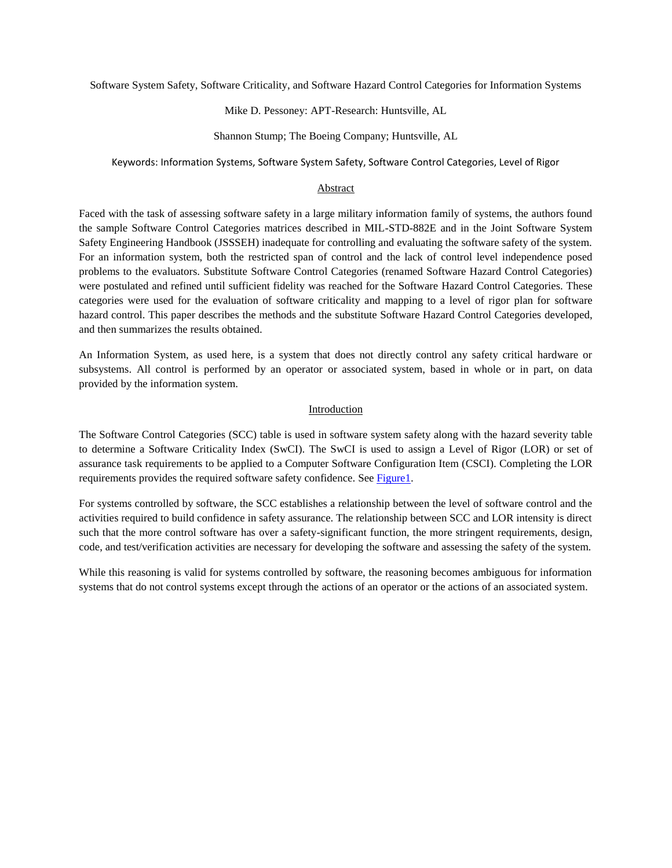Software System Safety, Software Criticality, and Software Hazard Control Categories for Information Systems

### Mike D. Pessoney: APT-Research: Huntsville, AL

### Shannon Stump; The Boeing Company; Huntsville, AL

Keywords: Information Systems, Software System Safety, Software Control Categories, Level of Rigor

### Abstract

Faced with the task of assessing software safety in a large military information family of systems, the authors found the sample Software Control Categories matrices described in MIL-STD-882E and in the Joint Software System Safety Engineering Handbook (JSSSEH) inadequate for controlling and evaluating the software safety of the system. For an information system, both the restricted span of control and the lack of control level independence posed problems to the evaluators. Substitute Software Control Categories (renamed Software Hazard Control Categories) were postulated and refined until sufficient fidelity was reached for the Software Hazard Control Categories. These categories were used for the evaluation of software criticality and mapping to a level of rigor plan for software hazard control. This paper describes the methods and the substitute Software Hazard Control Categories developed, and then summarizes the results obtained.

An Information System, as used here, is a system that does not directly control any safety critical hardware or subsystems. All control is performed by an operator or associated system, based in whole or in part, on data provided by the information system.

### Introduction

The Software Control Categories (SCC) table is used in software system safety along with the hazard severity table to determine a Software Criticality Index (SwCI). The SwCI is used to assign a Level of Rigor (LOR) or set of assurance task requirements to be applied to a Computer Software Configuration Item (CSCI). Completing the LOR requirements provides the required software safety confidence. See [Figure1.](#page-1-0)

For systems controlled by software, the SCC establishes a relationship between the level of software control and the activities required to build confidence in safety assurance. The relationship between SCC and LOR intensity is direct such that the more control software has over a safety-significant function, the more stringent requirements, design, code, and test/verification activities are necessary for developing the software and assessing the safety of the system.

While this reasoning is valid for systems controlled by software, the reasoning becomes ambiguous for information systems that do not control systems except through the actions of an operator or the actions of an associated system.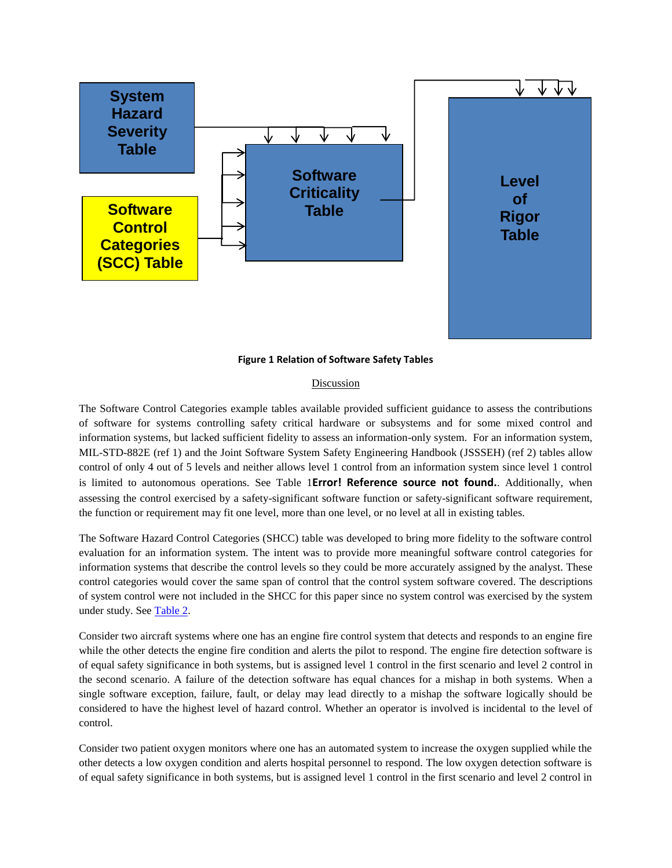

**Figure 1 Relation of Software Safety Tables**

#### Discussion

<span id="page-1-0"></span>The Software Control Categories example tables available provided sufficient guidance to assess the contributions of software for systems controlling safety critical hardware or subsystems and for some mixed control and information systems, but lacked sufficient fidelity to assess an information-only system. For an information system, MIL-STD-882E (ref 1) and the Joint Software System Safety Engineering Handbook (JSSSEH) (ref 2) tables allow control of only 4 out of 5 levels and neither allows level 1 control from an information system since level 1 control is limited to autonomous operations. See Table 1**Error! Reference source not found.**. Additionally, when assessing the control exercised by a safety-significant software function or safety-significant software requirement, the function or requirement may fit one level, more than one level, or no level at all in existing tables.

The Software Hazard Control Categories (SHCC) table was developed to bring more fidelity to the software control evaluation for an information system. The intent was to provide more meaningful software control categories for information systems that describe the control levels so they could be more accurately assigned by the analyst. These control categories would cover the same span of control that the control system software covered. The descriptions of system control were not included in the SHCC for this paper since no system control was exercised by the system under study. See [Table 2.](#page-5-0)

Consider two aircraft systems where one has an engine fire control system that detects and responds to an engine fire while the other detects the engine fire condition and alerts the pilot to respond. The engine fire detection software is of equal safety significance in both systems, but is assigned level 1 control in the first scenario and level 2 control in the second scenario. A failure of the detection software has equal chances for a mishap in both systems. When a single software exception, failure, fault, or delay may lead directly to a mishap the software logically should be considered to have the highest level of hazard control. Whether an operator is involved is incidental to the level of control.

Consider two patient oxygen monitors where one has an automated system to increase the oxygen supplied while the other detects a low oxygen condition and alerts hospital personnel to respond. The low oxygen detection software is of equal safety significance in both systems, but is assigned level 1 control in the first scenario and level 2 control in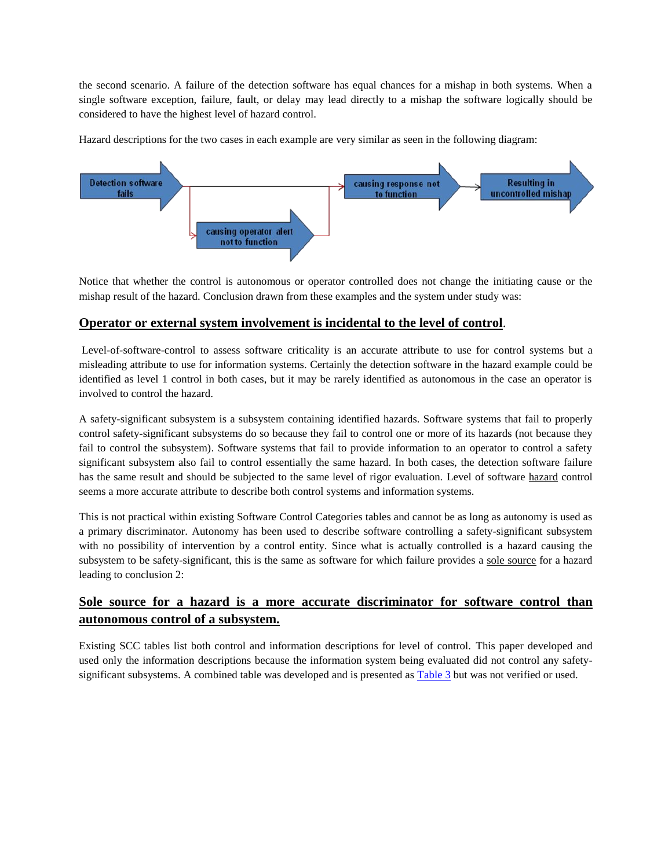the second scenario. A failure of the detection software has equal chances for a mishap in both systems. When a single software exception, failure, fault, or delay may lead directly to a mishap the software logically should be considered to have the highest level of hazard control.

Hazard descriptions for the two cases in each example are very similar as seen in the following diagram:



Notice that whether the control is autonomous or operator controlled does not change the initiating cause or the mishap result of the hazard. Conclusion drawn from these examples and the system under study was:

## **Operator or external system involvement is incidental to the level of control**.

Level-of-software-control to assess software criticality is an accurate attribute to use for control systems but a misleading attribute to use for information systems. Certainly the detection software in the hazard example could be identified as level 1 control in both cases, but it may be rarely identified as autonomous in the case an operator is involved to control the hazard.

A safety-significant subsystem is a subsystem containing identified hazards. Software systems that fail to properly control safety-significant subsystems do so because they fail to control one or more of its hazards (not because they fail to control the subsystem). Software systems that fail to provide information to an operator to control a safety significant subsystem also fail to control essentially the same hazard. In both cases, the detection software failure has the same result and should be subjected to the same level of rigor evaluation. Level of software hazard control seems a more accurate attribute to describe both control systems and information systems.

This is not practical within existing Software Control Categories tables and cannot be as long as autonomy is used as a primary discriminator. Autonomy has been used to describe software controlling a safety-significant subsystem with no possibility of intervention by a control entity. Since what is actually controlled is a hazard causing the subsystem to be safety-significant, this is the same as software for which failure provides a sole source for a hazard leading to conclusion 2:

# **Sole source for a hazard is a more accurate discriminator for software control than autonomous control of a subsystem.**

Existing SCC tables list both control and information descriptions for level of control. This paper developed and used only the information descriptions because the information system being evaluated did not control any safetysignificant subsystems. A combined table was developed and is presented as **Table 3** but was not verified or used.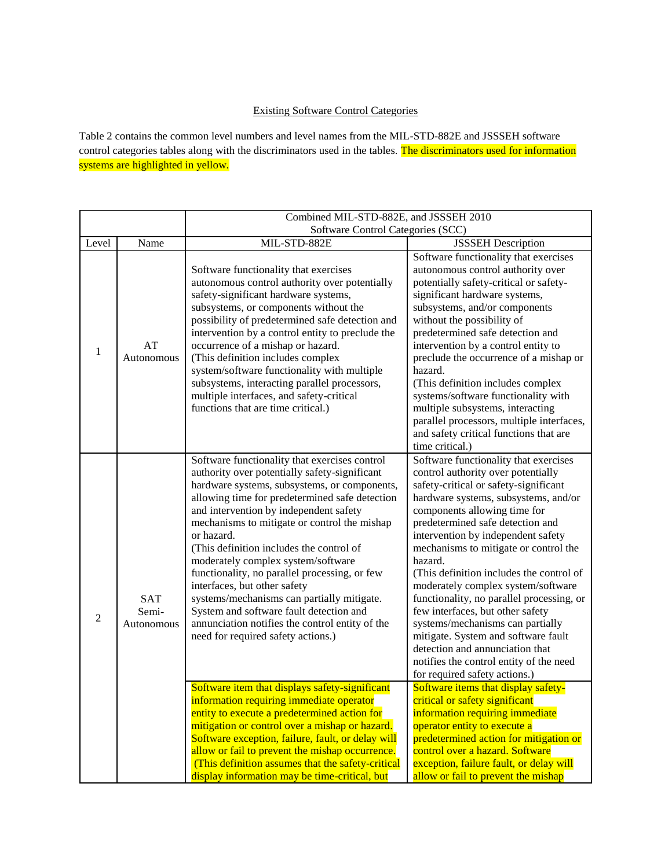### Existing Software Control Categories

Table 2 contains the common level numbers and level names from the MIL-STD-882E and JSSSEH software control categories tables along with the discriminators used in the tables. The discriminators used for information systems are highlighted in yellow.

|       |                                   | Combined MIL-STD-882E, and JSSSEH 2010                                                                                                                                                                                                                                                                                                                                                                                                                                                                                                                                                                                                                                                                          |                                                                                                                                                                                                                                                                                                                                                                                                                                                                                                                                                                                                                                                                                                                                |
|-------|-----------------------------------|-----------------------------------------------------------------------------------------------------------------------------------------------------------------------------------------------------------------------------------------------------------------------------------------------------------------------------------------------------------------------------------------------------------------------------------------------------------------------------------------------------------------------------------------------------------------------------------------------------------------------------------------------------------------------------------------------------------------|--------------------------------------------------------------------------------------------------------------------------------------------------------------------------------------------------------------------------------------------------------------------------------------------------------------------------------------------------------------------------------------------------------------------------------------------------------------------------------------------------------------------------------------------------------------------------------------------------------------------------------------------------------------------------------------------------------------------------------|
|       |                                   | Software Control Categories (SCC)                                                                                                                                                                                                                                                                                                                                                                                                                                                                                                                                                                                                                                                                               |                                                                                                                                                                                                                                                                                                                                                                                                                                                                                                                                                                                                                                                                                                                                |
| Level | Name                              | MIL-STD-882E                                                                                                                                                                                                                                                                                                                                                                                                                                                                                                                                                                                                                                                                                                    | <b>JSSSEH</b> Description                                                                                                                                                                                                                                                                                                                                                                                                                                                                                                                                                                                                                                                                                                      |
| 1     | AT<br>Autonomous                  | Software functionality that exercises<br>autonomous control authority over potentially<br>safety-significant hardware systems,<br>subsystems, or components without the<br>possibility of predetermined safe detection and<br>intervention by a control entity to preclude the<br>occurrence of a mishap or hazard.<br>(This definition includes complex<br>system/software functionality with multiple<br>subsystems, interacting parallel processors,<br>multiple interfaces, and safety-critical<br>functions that are time critical.)                                                                                                                                                                       | Software functionality that exercises<br>autonomous control authority over<br>potentially safety-critical or safety-<br>significant hardware systems,<br>subsystems, and/or components<br>without the possibility of<br>predetermined safe detection and<br>intervention by a control entity to<br>preclude the occurrence of a mishap or<br>hazard.<br>(This definition includes complex<br>systems/software functionality with<br>multiple subsystems, interacting<br>parallel processors, multiple interfaces,<br>and safety critical functions that are<br>time critical.)                                                                                                                                                 |
| 2     | <b>SAT</b><br>Semi-<br>Autonomous | Software functionality that exercises control<br>authority over potentially safety-significant<br>hardware systems, subsystems, or components,<br>allowing time for predetermined safe detection<br>and intervention by independent safety<br>mechanisms to mitigate or control the mishap<br>or hazard.<br>(This definition includes the control of<br>moderately complex system/software<br>functionality, no parallel processing, or few<br>interfaces, but other safety<br>systems/mechanisms can partially mitigate.<br>System and software fault detection and<br>annunciation notifies the control entity of the<br>need for required safety actions.)<br>Software item that displays safety-significant | Software functionality that exercises<br>control authority over potentially<br>safety-critical or safety-significant<br>hardware systems, subsystems, and/or<br>components allowing time for<br>predetermined safe detection and<br>intervention by independent safety<br>mechanisms to mitigate or control the<br>hazard.<br>(This definition includes the control of<br>moderately complex system/software<br>functionality, no parallel processing, or<br>few interfaces, but other safety<br>systems/mechanisms can partially<br>mitigate. System and software fault<br>detection and annunciation that<br>notifies the control entity of the need<br>for required safety actions.)<br>Software items that display safety- |
|       |                                   | information requiring immediate operator<br>entity to execute a predetermined action for<br>mitigation or control over a mishap or hazard.<br>Software exception, failure, fault, or delay will<br>allow or fail to prevent the mishap occurrence.<br>(This definition assumes that the safety-critical<br>display information may be time-critical, but                                                                                                                                                                                                                                                                                                                                                        | critical or safety significant<br>information requiring immediate<br>operator entity to execute a<br>predetermined action for mitigation or<br>control over a hazard. Software<br>exception, failure fault, or delay will<br>allow or fail to prevent the mishap                                                                                                                                                                                                                                                                                                                                                                                                                                                               |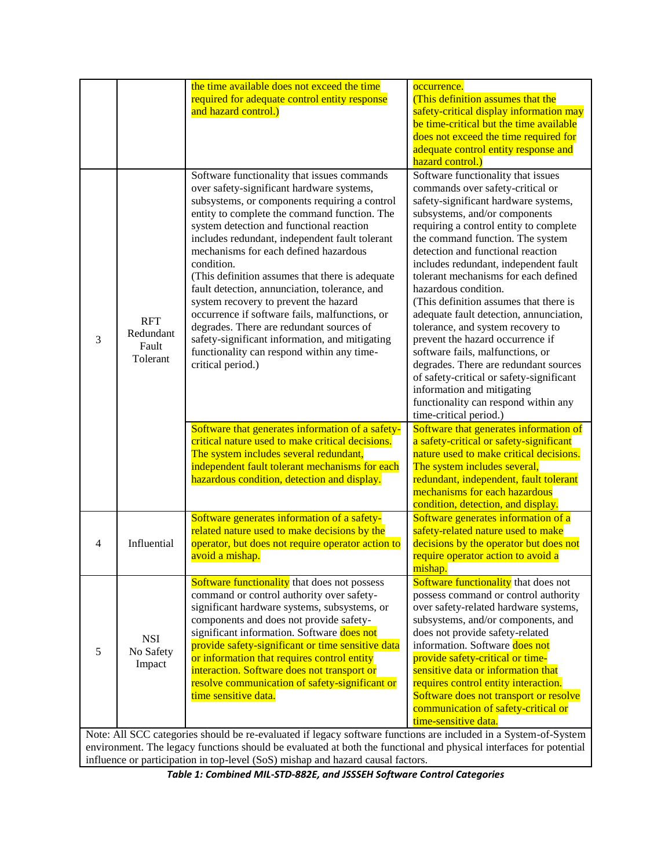|                                                                                                                                                                                                                                       |                                              | the time available does not exceed the time<br>required for adequate control entity response<br>and hazard control.)                                                                                                                                                                                                                                                                                                                                                                                                                                                                                                                                                                                           | occurrence.<br>(This definition assumes that the<br>safety-critical display information may<br>be time-critical but the time available<br>does not exceed the time required for<br>adequate control entity response and<br>hazard control.)                                                                                                                                                                                                                                                                                                                                                                                                                                                                                                                        |  |
|---------------------------------------------------------------------------------------------------------------------------------------------------------------------------------------------------------------------------------------|----------------------------------------------|----------------------------------------------------------------------------------------------------------------------------------------------------------------------------------------------------------------------------------------------------------------------------------------------------------------------------------------------------------------------------------------------------------------------------------------------------------------------------------------------------------------------------------------------------------------------------------------------------------------------------------------------------------------------------------------------------------------|--------------------------------------------------------------------------------------------------------------------------------------------------------------------------------------------------------------------------------------------------------------------------------------------------------------------------------------------------------------------------------------------------------------------------------------------------------------------------------------------------------------------------------------------------------------------------------------------------------------------------------------------------------------------------------------------------------------------------------------------------------------------|--|
| 3                                                                                                                                                                                                                                     | <b>RFT</b><br>Redundant<br>Fault<br>Tolerant | Software functionality that issues commands<br>over safety-significant hardware systems,<br>subsystems, or components requiring a control<br>entity to complete the command function. The<br>system detection and functional reaction<br>includes redundant, independent fault tolerant<br>mechanisms for each defined hazardous<br>condition.<br>(This definition assumes that there is adequate<br>fault detection, annunciation, tolerance, and<br>system recovery to prevent the hazard<br>occurrence if software fails, malfunctions, or<br>degrades. There are redundant sources of<br>safety-significant information, and mitigating<br>functionality can respond within any time-<br>critical period.) | Software functionality that issues<br>commands over safety-critical or<br>safety-significant hardware systems,<br>subsystems, and/or components<br>requiring a control entity to complete<br>the command function. The system<br>detection and functional reaction<br>includes redundant, independent fault<br>tolerant mechanisms for each defined<br>hazardous condition.<br>(This definition assumes that there is<br>adequate fault detection, annunciation,<br>tolerance, and system recovery to<br>prevent the hazard occurrence if<br>software fails, malfunctions, or<br>degrades. There are redundant sources<br>of safety-critical or safety-significant<br>information and mitigating<br>functionality can respond within any<br>time-critical period.) |  |
|                                                                                                                                                                                                                                       |                                              | Software that generates information of a safety-<br>critical nature used to make critical decisions.<br>The system includes several redundant,<br>independent fault tolerant mechanisms for each<br>hazardous condition, detection and display.                                                                                                                                                                                                                                                                                                                                                                                                                                                                | Software that generates information of<br>a safety-critical or safety-significant<br>nature used to make critical decisions.<br>The system includes several,<br>redundant, independent, fault tolerant<br>mechanisms for each hazardous<br>condition, detection, and display.                                                                                                                                                                                                                                                                                                                                                                                                                                                                                      |  |
| 4                                                                                                                                                                                                                                     | Influential                                  | Software generates information of a safety-<br>related nature used to make decisions by the<br>operator, but does not require operator action to<br>avoid a mishap.                                                                                                                                                                                                                                                                                                                                                                                                                                                                                                                                            | Software generates information of a<br>safety-related nature used to make<br>decisions by the operator but does not<br>require operator action to avoid a<br>mishap.                                                                                                                                                                                                                                                                                                                                                                                                                                                                                                                                                                                               |  |
| 5                                                                                                                                                                                                                                     | <b>NSI</b><br>No Safety<br>Impact            | Software functionality that does not possess<br>command or control authority over safety-<br>significant hardware systems, subsystems, or<br>components and does not provide safety-<br>significant information. Software does not<br>provide safety-significant or time sensitive data<br>or information that requires control entity<br>interaction. Software does not transport or<br>resolve communication of safety-significant or<br>time sensitive data.                                                                                                                                                                                                                                                | Software functionality that does not<br>possess command or control authority<br>over safety-related hardware systems,<br>subsystems, and/or components, and<br>does not provide safety-related<br>information. Software does not<br>provide safety-critical or time-<br>sensitive data or information that<br>requires control entity interaction.<br>Software does not transport or resolve<br>communication of safety-critical or<br>time-sensitive data.                                                                                                                                                                                                                                                                                                        |  |
| Note: All SCC categories should be re-evaluated if legacy software functions are included in a System-of-System<br>environment. The legacy functions should be evaluated at both the functional and physical interfaces for potential |                                              |                                                                                                                                                                                                                                                                                                                                                                                                                                                                                                                                                                                                                                                                                                                |                                                                                                                                                                                                                                                                                                                                                                                                                                                                                                                                                                                                                                                                                                                                                                    |  |

influence or participation in top-level (SoS) mishap and hazard causal factors. *Table 1: Combined MIL-STD-882E, and JSSSEH Software Control Categories*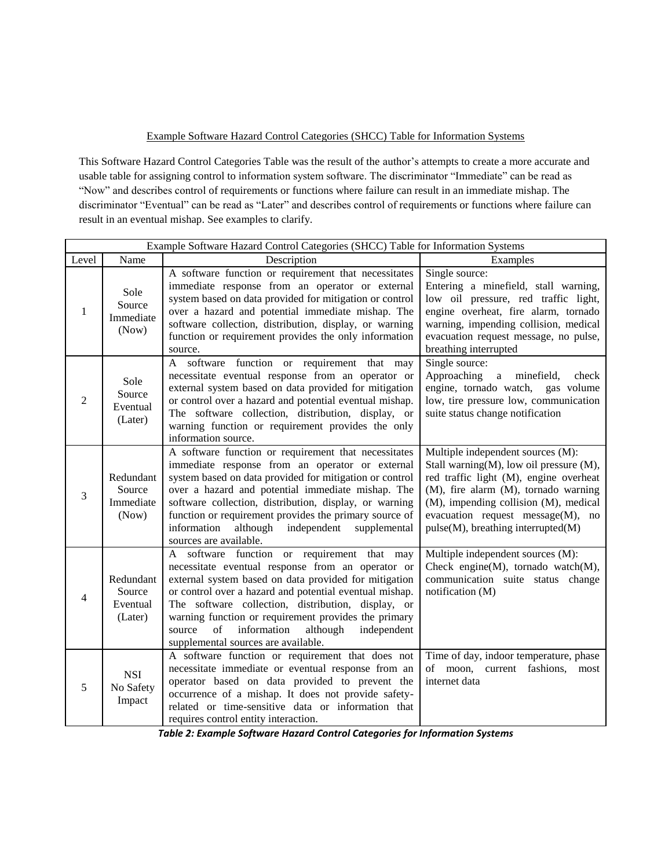### Example Software Hazard Control Categories (SHCC) Table for Information Systems

This Software Hazard Control Categories Table was the result of the author's attempts to create a more accurate and usable table for assigning control to information system software. The discriminator "Immediate" can be read as "Now" and describes control of requirements or functions where failure can result in an immediate mishap. The discriminator "Eventual" can be read as "Later" and describes control of requirements or functions where failure can result in an eventual mishap. See examples to clarify.

|       | Example Software Hazard Control Categories (SHCC) Table for Information Systems |                                                                                                                                                                                                                                                                                                                                                                                                                                           |                                                                                                                                                                                                                                                                                          |  |  |
|-------|---------------------------------------------------------------------------------|-------------------------------------------------------------------------------------------------------------------------------------------------------------------------------------------------------------------------------------------------------------------------------------------------------------------------------------------------------------------------------------------------------------------------------------------|------------------------------------------------------------------------------------------------------------------------------------------------------------------------------------------------------------------------------------------------------------------------------------------|--|--|
| Level | Name                                                                            | Description                                                                                                                                                                                                                                                                                                                                                                                                                               | Examples                                                                                                                                                                                                                                                                                 |  |  |
| 1     | Sole<br>Source<br>Immediate<br>(Now)                                            | A software function or requirement that necessitates<br>immediate response from an operator or external<br>system based on data provided for mitigation or control<br>over a hazard and potential immediate mishap. The<br>software collection, distribution, display, or warning<br>function or requirement provides the only information<br>source.                                                                                     | Single source:<br>Entering a minefield, stall warning,<br>low oil pressure, red traffic light,<br>engine overheat, fire alarm, tornado<br>warning, impending collision, medical<br>evacuation request message, no pulse,<br>breathing interrupted                                        |  |  |
| 2     | Sole<br>Source<br>Eventual<br>(Later)                                           | A software function or requirement that<br>may<br>necessitate eventual response from an operator or<br>external system based on data provided for mitigation<br>or control over a hazard and potential eventual mishap.<br>The software collection, distribution, display, or<br>warning function or requirement provides the only<br>information source.                                                                                 | Single source:<br>Approaching<br>minefield,<br>$\mathbf{a}$<br>check<br>engine, tornado watch, gas volume<br>low, tire pressure low, communication<br>suite status change notification                                                                                                   |  |  |
| 3     | Redundant<br>Source<br>Immediate<br>(Now)                                       | A software function or requirement that necessitates<br>immediate response from an operator or external<br>system based on data provided for mitigation or control<br>over a hazard and potential immediate mishap. The<br>software collection, distribution, display, or warning<br>function or requirement provides the primary source of<br>information<br>independent<br>although<br>supplemental<br>sources are available.           | Multiple independent sources (M):<br>Stall warning(M), low oil pressure (M),<br>red traffic light (M), engine overheat<br>(M), fire alarm (M), tornado warning<br>(M), impending collision (M), medical<br>evacuation request message(M), no<br>$pulse(M)$ , breathing interrupted $(M)$ |  |  |
| 4     | Redundant<br>Source<br>Eventual<br>(Later)                                      | software function or requirement that<br>A<br>may<br>necessitate eventual response from an operator or<br>external system based on data provided for mitigation<br>or control over a hazard and potential eventual mishap.<br>The software collection, distribution, display, or<br>warning function or requirement provides the primary<br>information<br>although<br>independent<br>source<br>of<br>supplemental sources are available. | Multiple independent sources (M):<br>Check engine(M), tornado watch(M),<br>communication suite status change<br>notification (M)                                                                                                                                                         |  |  |
| 5     | <b>NSI</b><br>No Safety<br>Impact                                               | A software function or requirement that does not<br>necessitate immediate or eventual response from an<br>operator based on data provided to prevent the<br>occurrence of a mishap. It does not provide safety-<br>related or time-sensitive data or information that<br>requires control entity interaction.                                                                                                                             | Time of day, indoor temperature, phase<br>of moon, current fashions,<br>most<br>internet data                                                                                                                                                                                            |  |  |

<span id="page-5-0"></span>*Table 2: Example Software Hazard Control Categories for Information Systems*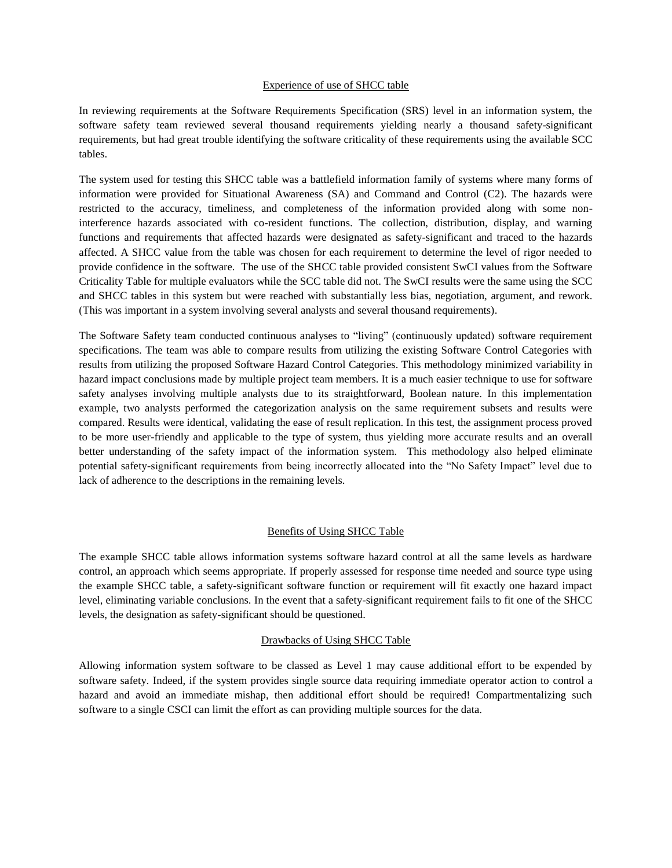#### Experience of use of SHCC table

In reviewing requirements at the Software Requirements Specification (SRS) level in an information system, the software safety team reviewed several thousand requirements yielding nearly a thousand safety-significant requirements, but had great trouble identifying the software criticality of these requirements using the available SCC tables.

The system used for testing this SHCC table was a battlefield information family of systems where many forms of information were provided for Situational Awareness (SA) and Command and Control (C2). The hazards were restricted to the accuracy, timeliness, and completeness of the information provided along with some noninterference hazards associated with co-resident functions. The collection, distribution, display, and warning functions and requirements that affected hazards were designated as safety-significant and traced to the hazards affected. A SHCC value from the table was chosen for each requirement to determine the level of rigor needed to provide confidence in the software. The use of the SHCC table provided consistent SwCI values from the Software Criticality Table for multiple evaluators while the SCC table did not. The SwCI results were the same using the SCC and SHCC tables in this system but were reached with substantially less bias, negotiation, argument, and rework. (This was important in a system involving several analysts and several thousand requirements).

The Software Safety team conducted continuous analyses to "living" (continuously updated) software requirement specifications. The team was able to compare results from utilizing the existing Software Control Categories with results from utilizing the proposed Software Hazard Control Categories. This methodology minimized variability in hazard impact conclusions made by multiple project team members. It is a much easier technique to use for software safety analyses involving multiple analysts due to its straightforward, Boolean nature. In this implementation example, two analysts performed the categorization analysis on the same requirement subsets and results were compared. Results were identical, validating the ease of result replication. In this test, the assignment process proved to be more user-friendly and applicable to the type of system, thus yielding more accurate results and an overall better understanding of the safety impact of the information system. This methodology also helped eliminate potential safety-significant requirements from being incorrectly allocated into the "No Safety Impact" level due to lack of adherence to the descriptions in the remaining levels.

#### Benefits of Using SHCC Table

The example SHCC table allows information systems software hazard control at all the same levels as hardware control, an approach which seems appropriate. If properly assessed for response time needed and source type using the example SHCC table, a safety-significant software function or requirement will fit exactly one hazard impact level, eliminating variable conclusions. In the event that a safety-significant requirement fails to fit one of the SHCC levels, the designation as safety-significant should be questioned.

#### Drawbacks of Using SHCC Table

Allowing information system software to be classed as Level 1 may cause additional effort to be expended by software safety. Indeed, if the system provides single source data requiring immediate operator action to control a hazard and avoid an immediate mishap, then additional effort should be required! Compartmentalizing such software to a single CSCI can limit the effort as can providing multiple sources for the data.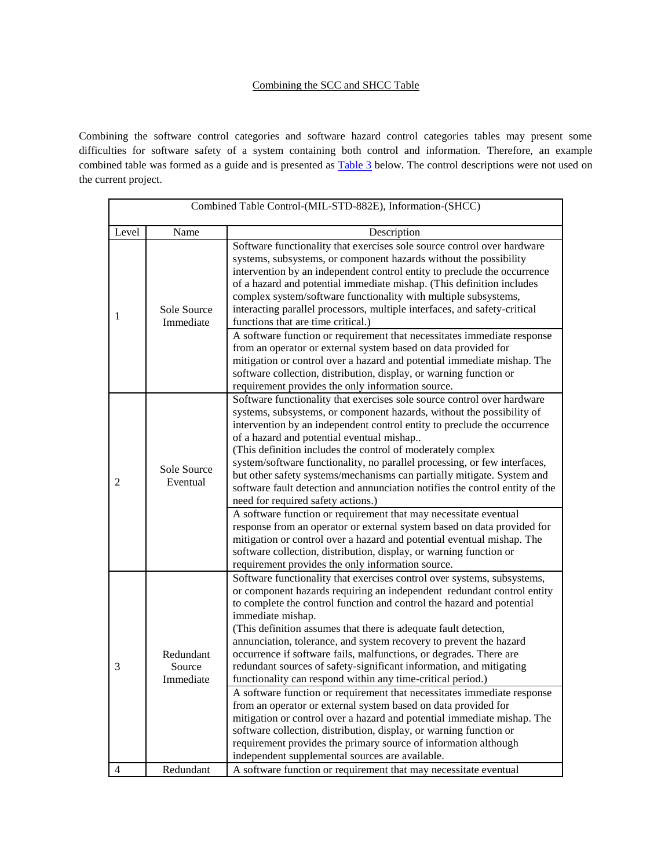### Combining the SCC and SHCC Table

Combining the software control categories and software hazard control categories tables may present some difficulties for software safety of a system containing both control and information. Therefore, an example combined table was formed as a guide and is presented as **Table 3** below. The control descriptions were not used on the current project.

| Combined Table Control-(MIL-STD-882E), Information-(SHCC) |                                  |                                                                                                                                                                                                                                                                                                                                                                                                                                                                                                                                                                                                                       |
|-----------------------------------------------------------|----------------------------------|-----------------------------------------------------------------------------------------------------------------------------------------------------------------------------------------------------------------------------------------------------------------------------------------------------------------------------------------------------------------------------------------------------------------------------------------------------------------------------------------------------------------------------------------------------------------------------------------------------------------------|
| Level                                                     | Name                             | Description                                                                                                                                                                                                                                                                                                                                                                                                                                                                                                                                                                                                           |
| 1                                                         | Sole Source<br>Immediate         | Software functionality that exercises sole source control over hardware<br>systems, subsystems, or component hazards without the possibility<br>intervention by an independent control entity to preclude the occurrence<br>of a hazard and potential immediate mishap. (This definition includes<br>complex system/software functionality with multiple subsystems,<br>interacting parallel processors, multiple interfaces, and safety-critical<br>functions that are time critical.)                                                                                                                               |
|                                                           |                                  | A software function or requirement that necessitates immediate response<br>from an operator or external system based on data provided for<br>mitigation or control over a hazard and potential immediate mishap. The<br>software collection, distribution, display, or warning function or<br>requirement provides the only information source.                                                                                                                                                                                                                                                                       |
| $\overline{2}$                                            | Sole Source<br>Eventual          | Software functionality that exercises sole source control over hardware<br>systems, subsystems, or component hazards, without the possibility of<br>intervention by an independent control entity to preclude the occurrence<br>of a hazard and potential eventual mishap<br>(This definition includes the control of moderately complex<br>system/software functionality, no parallel processing, or few interfaces,<br>but other safety systems/mechanisms can partially mitigate. System and<br>software fault detection and annunciation notifies the control entity of the<br>need for required safety actions.) |
|                                                           |                                  | A software function or requirement that may necessitate eventual<br>response from an operator or external system based on data provided for<br>mitigation or control over a hazard and potential eventual mishap. The<br>software collection, distribution, display, or warning function or<br>requirement provides the only information source.                                                                                                                                                                                                                                                                      |
| 3                                                         | Redundant<br>Source<br>Immediate | Software functionality that exercises control over systems, subsystems,<br>or component hazards requiring an independent redundant control entity<br>to complete the control function and control the hazard and potential<br>immediate mishap.<br>(This definition assumes that there is adequate fault detection,<br>annunciation, tolerance, and system recovery to prevent the hazard<br>occurrence if software fails, malfunctions, or degrades. There are<br>redundant sources of safety-significant information, and mitigating<br>functionality can respond within any time-critical period.)                 |
| 4                                                         | Redundant                        | A software function or requirement that necessitates immediate response<br>from an operator or external system based on data provided for<br>mitigation or control over a hazard and potential immediate mishap. The<br>software collection, distribution, display, or warning function or<br>requirement provides the primary source of information although<br>independent supplemental sources are available.<br>A software function or requirement that may necessitate eventual                                                                                                                                  |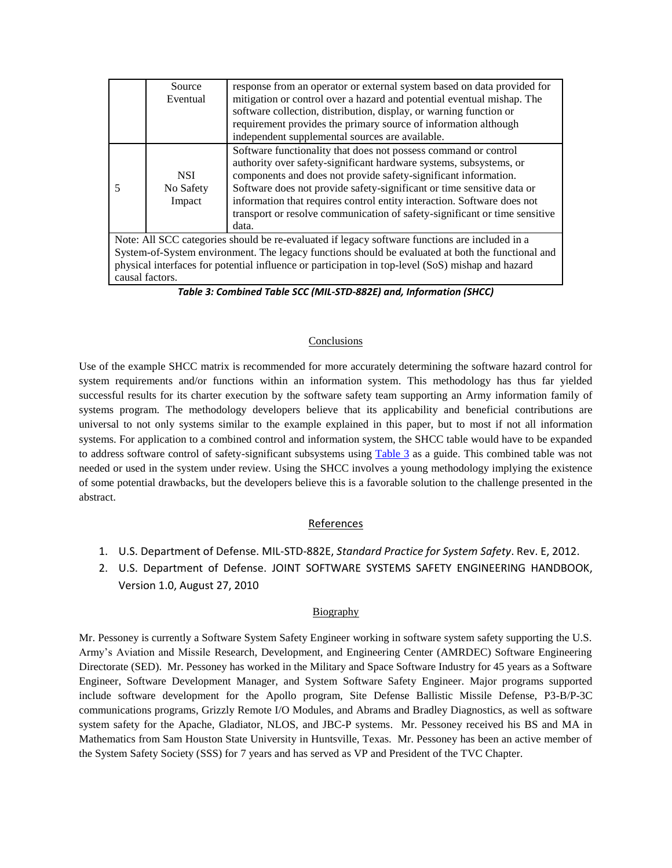|                                                                                                                                                                                                     | Source<br>Eventual                | response from an operator or external system based on data provided for<br>mitigation or control over a hazard and potential eventual mishap. The<br>software collection, distribution, display, or warning function or                                                                                                                                                                                                                              |
|-----------------------------------------------------------------------------------------------------------------------------------------------------------------------------------------------------|-----------------------------------|------------------------------------------------------------------------------------------------------------------------------------------------------------------------------------------------------------------------------------------------------------------------------------------------------------------------------------------------------------------------------------------------------------------------------------------------------|
|                                                                                                                                                                                                     |                                   | requirement provides the primary source of information although<br>independent supplemental sources are available.                                                                                                                                                                                                                                                                                                                                   |
| 5                                                                                                                                                                                                   | <b>NSI</b><br>No Safety<br>Impact | Software functionality that does not possess command or control<br>authority over safety-significant hardware systems, subsystems, or<br>components and does not provide safety-significant information.<br>Software does not provide safety-significant or time sensitive data or<br>information that requires control entity interaction. Software does not<br>transport or resolve communication of safety-significant or time sensitive<br>data. |
| Note: All SCC categories should be re-evaluated if legacy software functions are included in a<br>System-of-System environment. The legacy functions should be evaluated at both the functional and |                                   |                                                                                                                                                                                                                                                                                                                                                                                                                                                      |
| physical interfaces for potential influence or participation in top-level (SoS) mishap and hazard<br>causal factors.                                                                                |                                   |                                                                                                                                                                                                                                                                                                                                                                                                                                                      |

*Table 3: Combined Table SCC (MIL-STD-882E) and, Information (SHCC)*

### Conclusions

<span id="page-8-0"></span>Use of the example SHCC matrix is recommended for more accurately determining the software hazard control for system requirements and/or functions within an information system. This methodology has thus far yielded successful results for its charter execution by the software safety team supporting an Army information family of systems program. The methodology developers believe that its applicability and beneficial contributions are universal to not only systems similar to the example explained in this paper, but to most if not all information systems. For application to a combined control and information system, the SHCC table would have to be expanded to address software control of safety-significant subsystems using [Table](#page-8-0) 3 as a guide. This combined table was not needed or used in the system under review. Using the SHCC involves a young methodology implying the existence of some potential drawbacks, but the developers believe this is a favorable solution to the challenge presented in the abstract.

### References

- 1. U.S. Department of Defense. MIL-STD-882E, *Standard Practice for System Safety*. Rev. E, 2012.
- 2. U.S. Department of Defense. JOINT SOFTWARE SYSTEMS SAFETY ENGINEERING HANDBOOK, Version 1.0, August 27, 2010

### **Biography**

Mr. Pessoney is currently a Software System Safety Engineer working in software system safety supporting the U.S. Army's Aviation and Missile Research, Development, and Engineering Center (AMRDEC) Software Engineering Directorate (SED). Mr. Pessoney has worked in the Military and Space Software Industry for 45 years as a Software Engineer, Software Development Manager, and System Software Safety Engineer. Major programs supported include software development for the Apollo program, Site Defense Ballistic Missile Defense, P3-B/P-3C communications programs, Grizzly Remote I/O Modules, and Abrams and Bradley Diagnostics, as well as software system safety for the Apache, Gladiator, NLOS, and JBC-P systems. Mr. Pessoney received his BS and MA in Mathematics from Sam Houston State University in Huntsville, Texas. Mr. Pessoney has been an active member of the System Safety Society (SSS) for 7 years and has served as VP and President of the TVC Chapter.